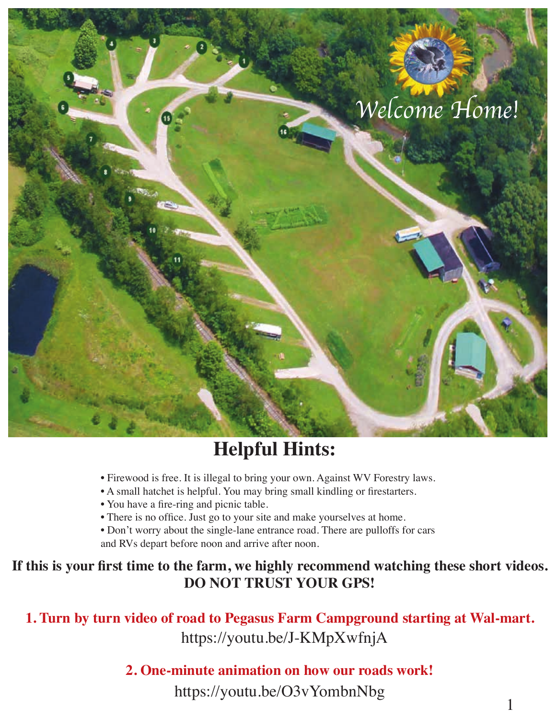

# **Helpful Hints:**

- Firewood is free. It is illegal to bring your own. Against WV Forestry laws.
- A small hatchet is helpful. You may bring small kindling or firestarters.
- You have a fire-ring and picnic table.
- There is no office. Just go to your site and make yourselves at home.
- Don't worry about the single-lane entrance road. There are pulloffs for cars and RVs depart before noon and arrive after noon.

### If this is your first time to the farm, we highly recommend watching these short videos. **DO NOT TRUST YOUR GPS!**

https://youtu.be/J-KMpXwfnjA **1. Turn by turn video of road to Pegasus Farm Campground starting at Wal-mart.**

### **2. One-minute animation on how our roads work!**

https://youtu.be/O3vYombnNbg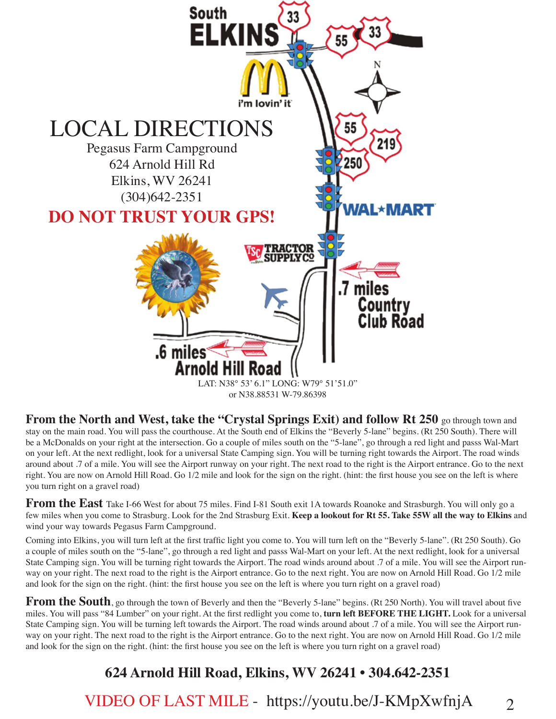

**From the North and West, take the "Crystal Springs Exit) and follow Rt 250 go through town and** stay on the main road. You will pass the courthouse. At the South end of Elkins the "Beverly 5-lane" begins. (Rt 250 South). There will be a McDonalds on your right at the intersection. Go a couple of miles south on the "5-lane", go through a red light and passs Wal-Mart on your left. At the next redlight, look for a universal State Camping sign. You will be turning right towards the Airport. The road winds around about .7 of a mile. You will see the Airport runway on your right. The next road to the right is the Airport entrance. Go to the next right. You are now on Arnold Hill Road. Go 1/2 mile and look for the sign on the right. (hint: the first house you see on the left is where you turn right on a gravel road)

From the East Take I-66 West for about 75 miles. Find I-81 South exit 1A towards Roanoke and Strasburgh. You will only go a few miles when you come to Strasburg. Look for the 2nd Strasburg Exit. **Keep a lookout for Rt 55. Take 55W all the way to Elkins** and wind your way towards Pegasus Farm Campground.

Coming into Elkins, you will turn left at the first traffic light you come to. You will turn left on the "Beverly 5-lane". (Rt 250 South). Go a couple of miles south on the "5-lane", go through a red light and passs Wal-Mart on your left. At the next redlight, look for a universal State Camping sign. You will be turning right towards the Airport. The road winds around about .7 of a mile. You will see the Airport runway on your right. The next road to the right is the Airport entrance. Go to the next right. You are now on Arnold Hill Road. Go 1/2 mile and look for the sign on the right. (hint: the first house you see on the left is where you turn right on a gravel road)

**From the South**, go through the town of Beverly and then the "Beverly 5-lane" begins. (Rt 250 North). You will travel about five miles. You will pass "84 Lumber" on your right. At the first redlight you come to, **turn left BEFORE THE LIGHT.** Look for a universal State Camping sign. You will be turning left towards the Airport. The road winds around about .7 of a mile. You will see the Airport runway on your right. The next road to the right is the Airport entrance. Go to the next right. You are now on Arnold Hill Road. Go 1/2 mile and look for the sign on the right. (hint: the first house you see on the left is where you turn right on a gravel road)

## **624 Arnold Hill Road, Elkins, WV 26241 • 304.642-2351**

VIDEO OF LAST MILE - https://youtu.be/J-KMpXwfnjA

 $\mathcal{D}_{\mathcal{L}}$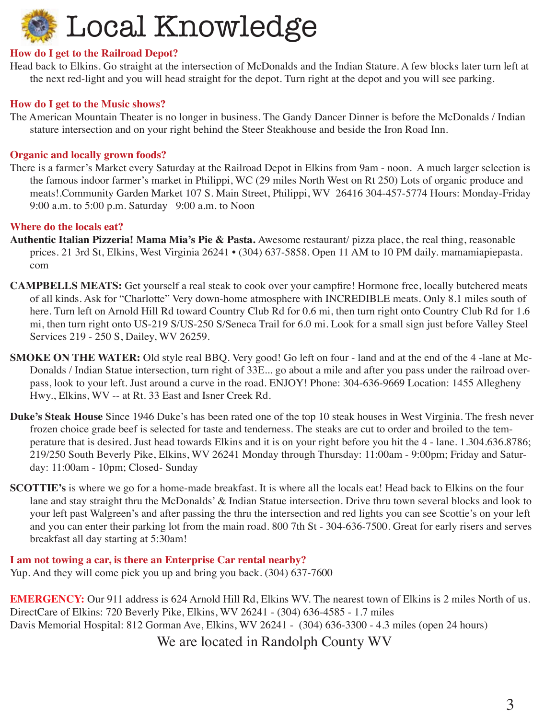

#### **How do I get to the Railroad Depot?**

Head back to Elkins. Go straight at the intersection of McDonalds and the Indian Stature. A few blocks later turn left at the next red-light and you will head straight for the depot. Turn right at the depot and you will see parking.

#### **How do I get to the Music shows?**

The American Mountain Theater is no longer in business. The Gandy Dancer Dinner is before the McDonalds / Indian stature intersection and on your right behind the Steer Steakhouse and beside the Iron Road Inn.

#### **Organic and locally grown foods?**

There is a farmer's Market every Saturday at the Railroad Depot in Elkins from 9am - noon. A much larger selection is the famous indoor farmer's market in Philippi, WC (29 miles North West on Rt 250) Lots of organic produce and meats!.Community Garden Market 107 S. Main Street, Philippi, WV 26416 304-457-5774 Hours: Monday-Friday 9:00 a.m. to 5:00 p.m. Saturday 9:00 a.m. to Noon

#### **Where do the locals eat?**

- **Authentic Italian Pizzeria! Mama Mia's Pie & Pasta.** Awesome restaurant/ pizza place, the real thing, reasonable prices. 21 3rd St, Elkins, West Virginia 26241 • (304) 637-5858. Open 11 AM to 10 PM daily. mamamiapiepasta. com
- **CAMPBELLS MEATS:** Get yourself a real steak to cook over your campfire! Hormone free, locally butchered meats of all kinds. Ask for "Charlotte" Very down-home atmosphere with INCREDIBLE meats. Only 8.1 miles south of here. Turn left on Arnold Hill Rd toward Country Club Rd for 0.6 mi, then turn right onto Country Club Rd for 1.6 mi, then turn right onto US-219 S/US-250 S/Seneca Trail for 6.0 mi. Look for a small sign just before Valley Steel Services 219 - 250 S, Dailey, WV 26259.
- **SMOKE ON THE WATER:** Old style real BBQ. Very good! Go left on four land and at the end of the 4-lane at Mc-Donalds / Indian Statue intersection, turn right of 33E... go about a mile and after you pass under the railroad overpass, look to your left. Just around a curve in the road. ENJOY! Phone: 304-636-9669 Location: 1455 Allegheny Hwy., Elkins, WV -- at Rt. 33 East and Isner Creek Rd.
- **Duke's Steak House** Since 1946 Duke's has been rated one of the top 10 steak houses in West Virginia. The fresh never frozen choice grade beef is selected for taste and tenderness. The steaks are cut to order and broiled to the temperature that is desired. Just head towards Elkins and it is on your right before you hit the 4 - lane. 1.304.636.8786; 219/250 South Beverly Pike, Elkins, WV 26241 Monday through Thursday: 11:00am - 9:00pm; Friday and Saturday: 11:00am - 10pm; Closed- Sunday
- **SCOTTIE's** is where we go for a home-made breakfast. It is where all the locals eat! Head back to Elkins on the four lane and stay straight thru the McDonalds' & Indian Statue intersection. Drive thru town several blocks and look to your left past Walgreen's and after passing the thru the intersection and red lights you can see Scottie's on your left and you can enter their parking lot from the main road. 800 7th St - 304-636-7500. Great for early risers and serves breakfast all day starting at 5:30am!

**I am not towing a car, is there an Enterprise Car rental nearby?**  Yup. And they will come pick you up and bring you back. (304) 637-7600

**EMERGENCY:** Our 911 address is 624 Arnold Hill Rd, Elkins WV. The nearest town of Elkins is 2 miles North of us. DirectCare of Elkins: 720 Beverly Pike, Elkins, WV 26241 - (304) 636-4585 - 1.7 miles Davis Memorial Hospital: 812 Gorman Ave, Elkins, WV 26241 - (304) 636-3300 - 4.3 miles (open 24 hours) We are located in Randolph County WV